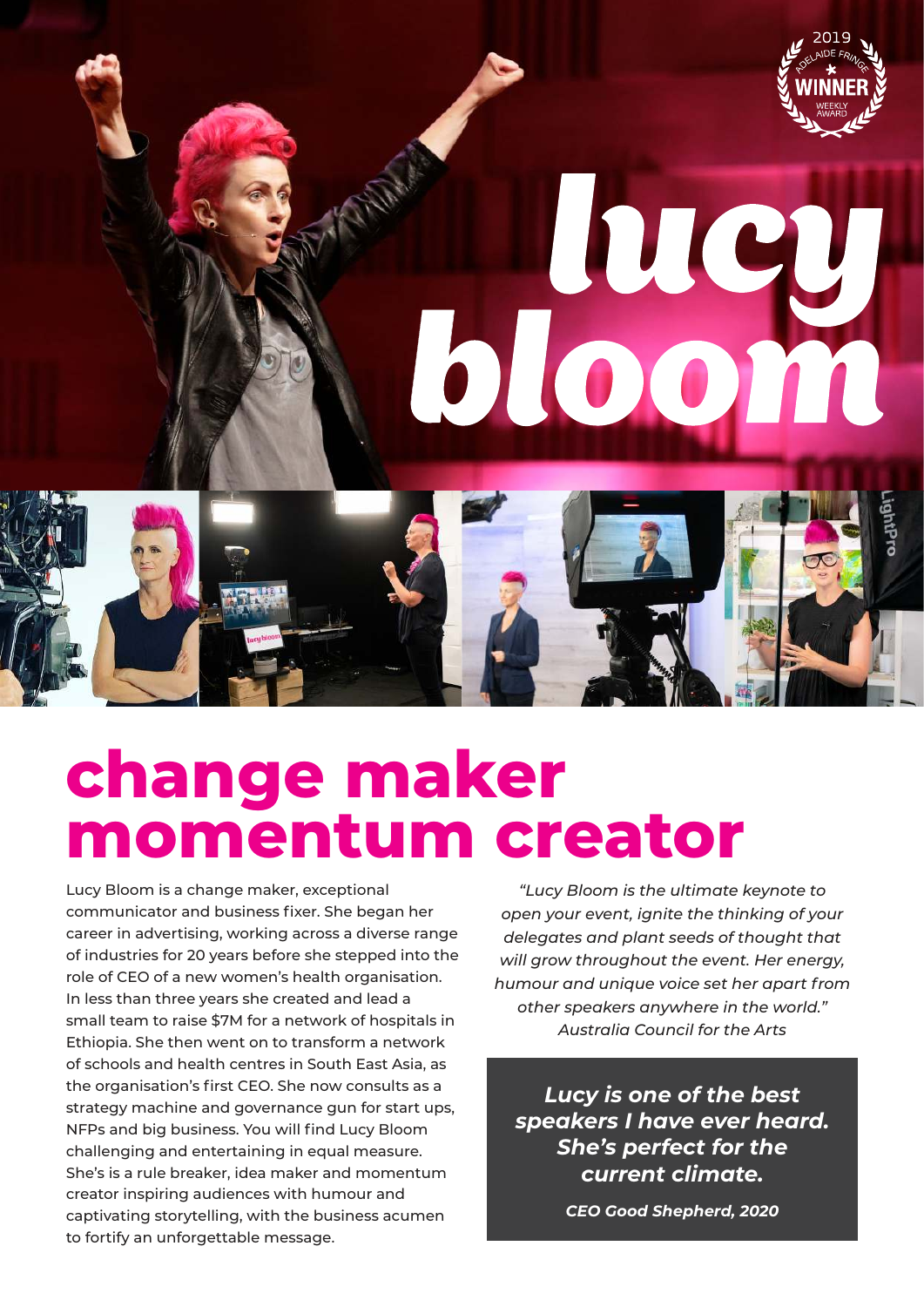

# luc bloom

# **change maker momentum creator**

Lucy Bloom is a change maker, exceptional communicator and business fixer. She began her career in advertising, working across a diverse range of industries for 20 years before she stepped into the role of CEO of a new women's health organisation. In less than three years she created and lead a small team to raise \$7M for a network of hospitals in Ethiopia. She then went on to transform a network of schools and health centres in South East Asia, as the organisation's first CEO. She now consults as a strategy machine and governance gun for start ups, NFPs and big business. You will find Lucy Bloom challenging and entertaining in equal measure. She's is a rule breaker, idea maker and momentum creator inspiring audiences with humour and captivating storytelling, with the business acumen to fortify an unforgettable message.

*"Lucy Bloom is the ultimate keynote to open your event, ignite the thinking of your delegates and plant seeds of thought that will grow throughout the event. Her energy, humour and unique voice set her apart from other speakers anywhere in the world." Australia Council for the Arts*

*Lucy is one of the best speakers I have ever heard. She's perfect for the current climate.*

*CEO Good Shepherd, 2020*